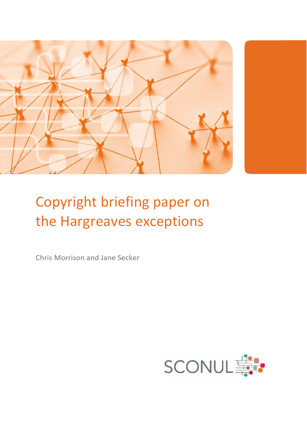

# Copyright briefing paper on the Hargreaves exceptions

Chris Morrison and Jane Secker

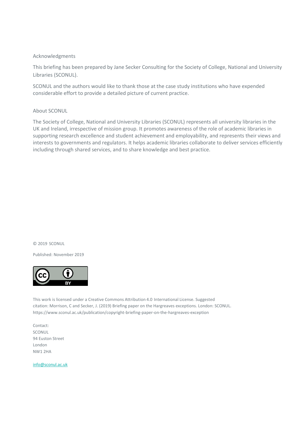#### Acknowledgments

This briefing has been prepared by Jane Secker Consulting for the Society of College, National and University Libraries (SCONUL).

SCONUL and the authors would like to thank those at the case study institutions who have expended considerable effort to provide a detailed picture of current practice.

#### About SCONUL

The Society of College, National and University Libraries (SCONUL) represents all university libraries in the UK and Ireland, irrespective of mission group. It promotes awareness of the role of academic libraries in supporting research excellence and student achievement and employability, and represents their views and interests to governments and regulators. It helps academic libraries collaborate to deliver services efficiently including through shared services, and to share knowledge and best practice.

#### © 2019 SCONUL

Published: November 2019



This work is licensed under a Creative Commons Attribution 4.0 International License. Suggested citation: Morrison, C and Secker, J. (2019) Briefing paper on the Hargreaves exceptions. London: SCONUL. https://www.sconul.ac.uk/publication/copyright-briefing-paper-on-the-hargreaves-exception

Contact: **SCONUL** 94 Euston Street London NW1 2HA

[info@sconul.ac.uk](mailto:info@sconul.ac.uk)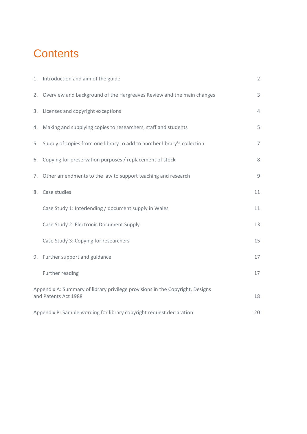## **Contents**

| 1. Introduction and aim of the guide                                                                  | $\overline{2}$ |  |
|-------------------------------------------------------------------------------------------------------|----------------|--|
| 2. Overview and background of the Hargreaves Review and the main changes                              | 3              |  |
| 3. Licenses and copyright exceptions                                                                  | 4              |  |
| 4. Making and supplying copies to researchers, staff and students                                     | 5              |  |
| 5. Supply of copies from one library to add to another library's collection                           | $\overline{7}$ |  |
| 6. Copying for preservation purposes / replacement of stock                                           | 8              |  |
| 7. Other amendments to the law to support teaching and research                                       | $\overline{9}$ |  |
| 8. Case studies                                                                                       | 11             |  |
| Case Study 1: Interlending / document supply in Wales                                                 | 11             |  |
| Case Study 2: Electronic Document Supply                                                              | 13             |  |
| Case Study 3: Copying for researchers                                                                 | 15             |  |
| 9. Further support and guidance                                                                       | 17             |  |
| Further reading                                                                                       | 17             |  |
| Appendix A: Summary of library privilege provisions in the Copyright, Designs<br>and Patents Act 1988 |                |  |
| Appendix B: Sample wording for library copyright request declaration<br>20                            |                |  |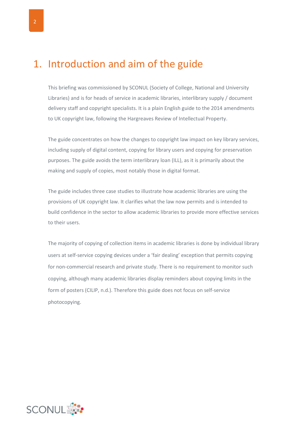### 1. Introduction and aim of the guide

This briefing was commissioned by SCONUL (Society of College, National and University Libraries) and is for heads of service in academic libraries, interlibrary supply / document delivery staff and copyright specialists. It is a plain English guide to the 2014 amendments to UK copyright law, following the Hargreaves Review of Intellectual Property.

The guide concentrates on how the changes to copyright law impact on key library services, including supply of digital content, copying for library users and copying for preservation purposes. The guide avoids the term interlibrary loan (ILL), as it is primarily about the making and supply of copies, most notably those in digital format.

The guide includes three case studies to illustrate how academic libraries are using the provisions of UK copyright law. It clarifies what the law now permits and is intended to build confidence in the sector to allow academic libraries to provide more effective services to their users.

The majority of copying of collection items in academic libraries is done by individual library users at self-service copying devices under a 'fair dealing' exception that permits copying for non-commercial research and private study. There is no requirement to monitor such copying, although many academic libraries display reminders about copying limits in the form of posters (CILIP, n.d.). Therefore this guide does not focus on self-service photocopying.

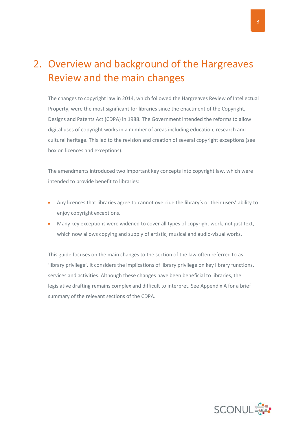### 2. Overview and background of the Hargreaves Review and the main changes

The changes to copyright law in 2014, which followed the Hargreaves Review of Intellectual Property, were the most significant for libraries since the enactment of the Copyright, Designs and Patents Act (CDPA) in 1988. The Government intended the reforms to allow digital uses of copyright works in a number of areas including education, research and cultural heritage. This led to the revision and creation of several copyright exceptions (see box on licences and exceptions).

The amendments introduced two important key concepts into copyright law, which were intended to provide benefit to libraries:

- Any licences that libraries agree to cannot override the library's or their users' ability to enjoy copyright exceptions.
- Many key exceptions were widened to cover all types of copyright work, not just text, which now allows copying and supply of artistic, musical and audio-visual works.

This guide focuses on the main changes to the section of the law often referred to as 'library privilege'. It considers the implications of library privilege on key library functions, services and activities. Although these changes have been beneficial to libraries, the legislative drafting remains complex and difficult to interpret. See Appendix A for a brief summary of the relevant sections of the CDPA.

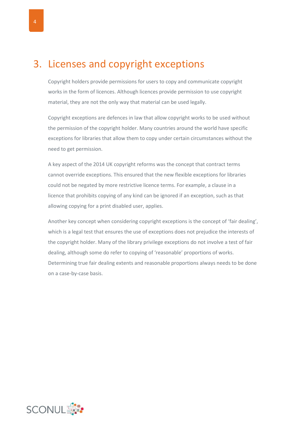### 3. Licenses and copyright exceptions

Copyright holders provide permissions for users to copy and communicate copyright works in the form of licences. Although licences provide permission to use copyright material, they are not the only way that material can be used legally.

Copyright exceptions are defences in law that allow copyright works to be used without the permission of the copyright holder. Many countries around the world have specific exceptions for libraries that allow them to copy under certain circumstances without the need to get permission.

A key aspect of the 2014 UK copyright reforms was the concept that contract terms cannot override exceptions. This ensured that the new flexible exceptions for libraries could not be negated by more restrictive licence terms. For example, a clause in a licence that prohibits copying of any kind can be ignored if an exception, such as that allowing copying for a print disabled user, applies.

Another key concept when considering copyright exceptions is the concept of 'fair dealing', which is a legal test that ensures the use of exceptions does not prejudice the interests of the copyright holder. Many of the library privilege exceptions do not involve a test of fair dealing, although some do refer to copying of 'reasonable' proportions of works. Determining true fair dealing extents and reasonable proportions always needs to be done on a case-by-case basis.

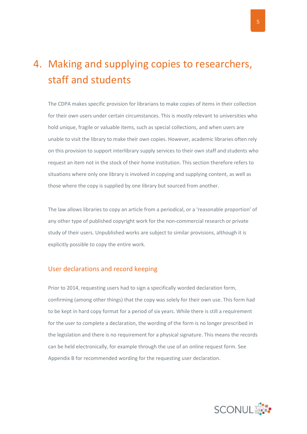### 4. Making and supplying copies to researchers, staff and students

The CDPA makes specific provision for librarians to make copies of items in their collection for their own users under certain circumstances. This is mostly relevant to universities who hold unique, fragile or valuable items, such as special collections, and when users are unable to visit the library to make their own copies. However, academic libraries often rely on this provision to support interlibrary supply services to their own staff and students who request an item not in the stock of their home institution. This section therefore refers to situations where only one library is involved in copying and supplying content, as well as those where the copy is supplied by one library but sourced from another.

The law allows libraries to copy an article from a periodical, or a 'reasonable proportion' of any other type of published copyright work for the non-commercial research or private study of their users. Unpublished works are subject to similar provisions, although it is explicitly possible to copy the entire work.

#### User declarations and record keeping

Prior to 2014, requesting users had to sign a specifically worded declaration form, confirming (among other things) that the copy was solely for their own use. This form had to be kept in hard copy format for a period of six years. While there is still a requirement for the user to complete a declaration, the wording of the form is no longer prescribed in the legislation and there is no requirement for a physical signature. This means the records can be held electronically, for example through the use of an online request form. See Appendix B for recommended wording for the requesting user declaration.

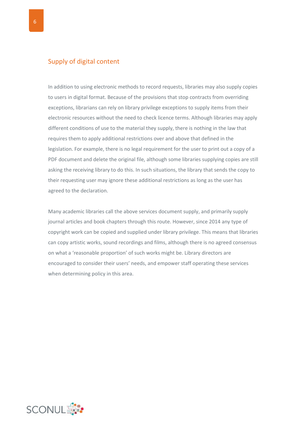#### Supply of digital content

In addition to using electronic methods to record requests, libraries may also supply copies to users in digital format. Because of the provisions that stop contracts from overriding exceptions, librarians can rely on library privilege exceptions to supply items from their electronic resources without the need to check licence terms. Although libraries may apply different conditions of use to the material they supply, there is nothing in the law that requires them to apply additional restrictions over and above that defined in the legislation. For example, there is no legal requirement for the user to print out a copy of a PDF document and delete the original file, although some libraries supplying copies are still asking the receiving library to do this. In such situations, the library that sends the copy to their requesting user may ignore these additional restrictions as long as the user has agreed to the declaration.

Many academic libraries call the above services document supply, and primarily supply journal articles and book chapters through this route. However, since 2014 any type of copyright work can be copied and supplied under library privilege. This means that libraries can copy artistic works, sound recordings and films, although there is no agreed consensus on what a 'reasonable proportion' of such works might be. Library directors are encouraged to consider their users' needs, and empower staff operating these services when determining policy in this area.

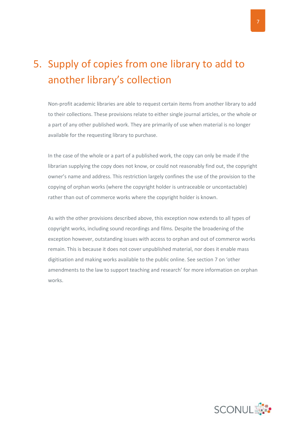## 5. Supply of copies from one library to add to another library's collection

Non-profit academic libraries are able to request certain items from another library to add to their collections. These provisions relate to either single journal articles, or the whole or a part of any other published work. They are primarily of use when material is no longer available for the requesting library to purchase.

In the case of the whole or a part of a published work, the copy can only be made if the librarian supplying the copy does not know, or could not reasonably find out, the copyright owner's name and address. This restriction largely confines the use of the provision to the copying of orphan works (where the copyright holder is untraceable or uncontactable) rather than out of commerce works where the copyright holder is known.

As with the other provisions described above, this exception now extends to all types of copyright works, including sound recordings and films. Despite the broadening of the exception however, outstanding issues with access to orphan and out of commerce works remain. This is because it does not cover unpublished material, nor does it enable mass digitisation and making works available to the public online. See section 7 on 'other amendments to the law to support teaching and research' for more information on orphan works.

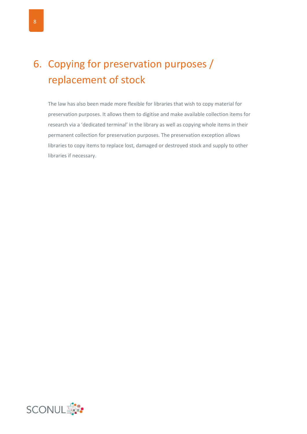## 6. Copying for preservation purposes / replacement of stock

The law has also been made more flexible for libraries that wish to copy material for preservation purposes. It allows them to digitise and make available collection items for research via a 'dedicated terminal' in the library as well as copying whole items in their permanent collection for preservation purposes. The preservation exception allows libraries to copy items to replace lost, damaged or destroyed stock and supply to other libraries if necessary.

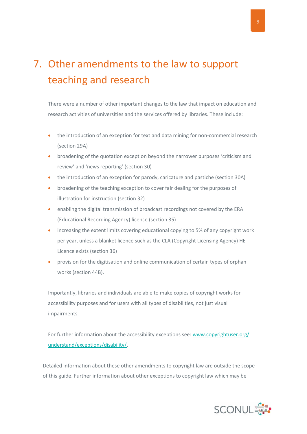## 7. Other amendments to the law to support teaching and research

There were a number of other important changes to the law that impact on education and research activities of universities and the services offered by libraries. These include:

- the introduction of an exception for text and data mining for non-commercial research (section 29A)
- broadening of the quotation exception beyond the narrower purposes 'criticism and review' and 'news reporting' (section 30)
- the introduction of an exception for parody, caricature and pastiche (section 30A)
- **•** broadening of the teaching exception to cover fair dealing for the purposes of illustration for instruction (section 32)
- enabling the digital transmission of broadcast recordings not covered by the ERA (Educational Recording Agency) licence (section 35)
- increasing the extent limits covering educational copying to 5% of any copyright work per year, unless a blanket licence such as the CLA (Copyright Licensing Agency) HE Licence exists (section 36)
- provision for the digitisation and online communication of certain types of orphan works (section 44B).

Importantly, libraries and individuals are able to make copies of copyright works for accessibility purposes and for users with all types of disabilities, not just visual impairments.

For further information about the accessibility exceptions see[: www.copyrightuser.org/](http://www.copyrightuser.org/understand/exceptions/disability/)  [understand/exceptions/disability/.](http://www.copyrightuser.org/understand/exceptions/disability/)

Detailed information about these other amendments to copyright law are outside the scope of this guide. Further information about other exceptions to copyright law which may be

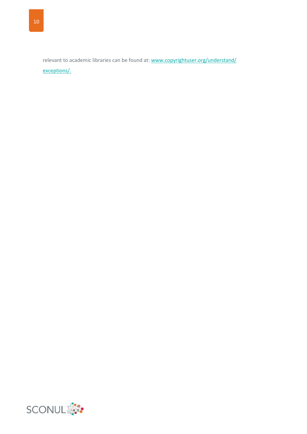relevant to academic libraries can be found at: www.copyrightuser.org/understand/ [exceptions/.](http://www.copyrightuser.org/understand/exceptions/)

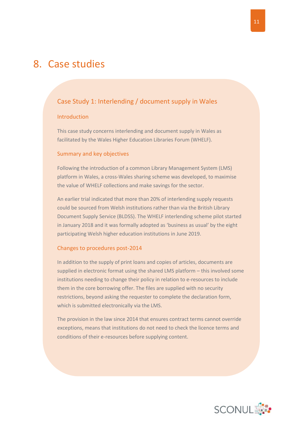### <span id="page-12-0"></span>8. Case studies

#### <span id="page-12-1"></span>Case Study 1: Interlending / document supply in Wales

#### Introduction

This case study concerns interlending and document supply in Wales as facilitated by the Wales Higher Education Libraries Forum (WHELF).

#### Summary and key objectives

Following the introduction of a common Library Management System (LMS) platform in Wales, a cross-Wales sharing scheme was developed, to maximise the value of WHELF collections and make savings for the sector.

An earlier trial indicated that more than 20% of interlending supply requests could be sourced from Welsh institutions rather than via the British Library Document Supply Service (BLDSS). The WHELF interlending scheme pilot started in January 2018 and it was formally adopted as 'business as usual' by the eight participating Welsh higher education institutions in June 2019.

#### Changes to procedures post-2014

In addition to the supply of print loans and copies of articles, documents are supplied in electronic format using the shared LMS platform – this involved some institutions needing to change their policy in relation to e-resources to include them in the core borrowing offer. The files are supplied with no security restrictions, beyond asking the requester to complete the declaration form, which is submitted electronically via the LMS.

The provision in the law since 2014 that ensures contract terms cannot override exceptions, means that institutions do not need to check the licence terms and conditions of their e-resources before supplying content.

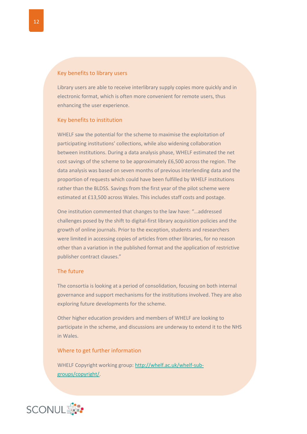#### Key benefits to library users

Library users are able to receive interlibrary supply copies more quickly and in electronic format, which is often more convenient for remote users, thus enhancing the user experience.

#### Key benefits to institution

WHELF saw the potential for the scheme to maximise the exploitation of participating institutions' collections, while also widening collaboration between institutions. During a data analysis phase, WHELF estimated the net cost savings of the scheme to be approximately £6,500 across the region. The data analysis was based on seven months of previous interlending data and the proportion of requests which could have been fulfilled by WHELF institutions rather than the BLDSS. Savings from the first year of the pilot scheme were estimated at £13,500 across Wales. This includes staff costs and postage.

One institution commented that changes to the law have: "…addressed challenges posed by the shift to digital-first library acquisition policies and the growth of online journals. Prior to the exception, students and researchers were limited in accessing copies of articles from other libraries, for no reason other than a variation in the published format and the application of restrictive publisher contract clauses."

#### The future

The consortia is looking at a period of consolidation, focusing on both internal governance and support mechanisms for the institutions involved. They are also exploring future developments for the scheme.

Other higher education providers and members of WHELF are looking to participate in the scheme, and discussions are underway to extend it to the NHS in Wales.

#### Where to get further information

WHELF Copyright working group: [http://whelf.ac.uk/whelf-sub](http://whelf.ac.uk/whelf-sub-groups/copyright/)[groups/copyright/.](http://whelf.ac.uk/whelf-sub-groups/copyright/)

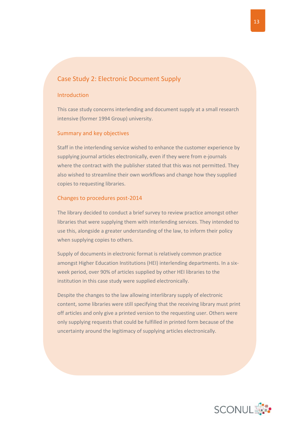#### <span id="page-14-0"></span>Case Study 2: Electronic Document Supply

#### **Introduction**

This case study concerns interlending and document supply at a small research intensive (former 1994 Group) university.

#### Summary and key objectives

Staff in the interlending service wished to enhance the customer experience by supplying journal articles electronically, even if they were from e-journals where the contract with the publisher stated that this was not permitted. They also wished to streamline their own workflows and change how they supplied copies to requesting libraries.

#### Changes to procedures post-2014

The library decided to conduct a brief survey to review practice amongst other libraries that were supplying them with interlending services. They intended to use this, alongside a greater understanding of the law, to inform their policy when supplying copies to others.

Supply of documents in electronic format is relatively common practice amongst Higher Education Institutions (HEI) interlending departments. In a sixweek period, over 90% of articles supplied by other HEI libraries to the institution in this case study were supplied electronically.

Despite the changes to the law allowing interlibrary supply of electronic content, some libraries were still specifying that the receiving library must print off articles and only give a printed version to the requesting user. Others were only supplying requests that could be fulfilled in printed form because of the uncertainty around the legitimacy of supplying articles electronically.

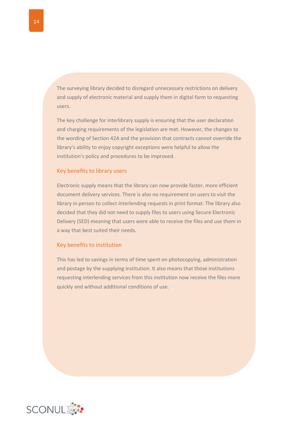The surveying library decided to disregard unnecessary restrictions on delivery and supply of electronic material and supply them in digital form to requesting users.

The key challenge for interlibrary supply is ensuring that the user declaration and charging requirements of the legislation are met. However, the changes to the wording of Section 42A and the provision that contracts cannot override the library's ability to enjoy copyright exceptions were helpful to allow the institution's policy and procedures to be improved.

#### Key benefits to library users

Electronic supply means that the library can now provide faster, more efficient document delivery services. There is also no requirement on users to visit the library in person to collect interlending requests in print format. The library also decided that they did not need to supply files to users using Secure Electronic Delivery (SED) meaning that users were able to receive the files and use them in a way that best suited their needs.

#### Key benefits to institution

This has led to savings in terms of time spent on photocopying, administration and postage by the supplying institution. It also means that those institutions requesting interlending services from this institution now receive the files more quickly and without additional conditions of use.

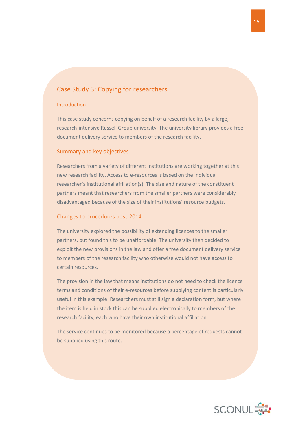#### <span id="page-16-0"></span>Case Study 3: Copying for researchers

#### Introduction

This case study concerns copying on behalf of a research facility by a large, research-intensive Russell Group university. The university library provides a free document delivery service to members of the research facility.

#### Summary and key objectives

Researchers from a variety of different institutions are working together at this new research facility. Access to e-resources is based on the individual researcher's institutional affiliation(s). The size and nature of the constituent partners meant that researchers from the smaller partners were considerably disadvantaged because of the size of their institutions' resource budgets.

#### Changes to procedures post-2014

The university explored the possibility of extending licences to the smaller partners, but found this to be unaffordable. The university then decided to exploit the new provisions in the law and offer a free document delivery service to members of the research facility who otherwise would not have access to certain resources.

The provision in the law that means institutions do not need to check the licence terms and conditions of their e-resources before supplying content is particularly useful in this example. Researchers must still sign a declaration form, but where the item is held in stock this can be supplied electronically to members of the research facility, each who have their own institutional affiliation.

The service continues to be monitored because a percentage of requests cannot be supplied using this route.

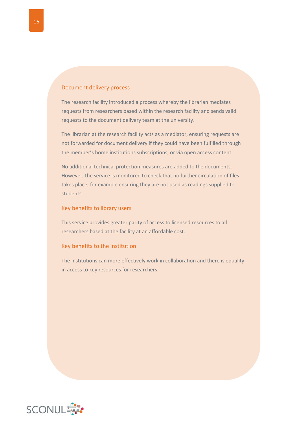#### Document delivery process

The research facility introduced a process whereby the librarian mediates requests from researchers based within the research facility and sends valid requests to the document delivery team at the university.

The librarian at the research facility acts as a mediator, ensuring requests are not forwarded for document delivery if they could have been fulfilled through the member's home institutions subscriptions, or via open access content.

No additional technical protection measures are added to the documents. However, the service is monitored to check that no further circulation of files takes place, for example ensuring they are not used as readings supplied to students.

#### Key benefits to library users

This service provides greater parity of access to licensed resources to all researchers based at the facility at an affordable cost.

#### Key benefits to the institution

The institutions can more effectively work in collaboration and there is equality in access to key resources for researchers.

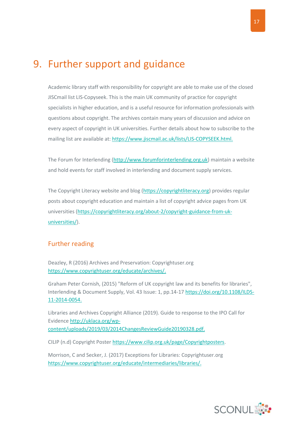### <span id="page-18-0"></span>9. Further support and guidance

Academic library staff with responsibility for copyright are able to make use of the closed JISCmail list LIS-Copyseek. This is the main UK community of practice for copyright specialists in higher education, and is a useful resource for information professionals with questions about copyright. The archives contain many years of discussion and advice on every aspect of copyright in UK universities. Further details about how to subscribe to the mailing list are available at: [https://www.jiscmail.ac.uk/lists/LIS-COPYSEEK.html.](https://www.jiscmail.ac.uk/lists/LIS-COPYSEEK.html)

The Forum for Interlending [\(http://www.forumforinterlending.org.uk\)](http://www.forumforinterlending.org.uk/) maintain a website and hold events for staff involved in interlending and document supply services.

The Copyright Literacy website and blog [\(https://copyrightliteracy.org\)](https://copyrightliteracy.org/) provides regular posts about copyright education and maintain a list of copyright advice pages from UK universities [\(https://copyrightliteracy.org/about-2/copyright-guidance-from-uk](https://copyrightliteracy.org/about-2/copyright-guidance-from-uk-universities/)[universities/\)](https://copyrightliteracy.org/about-2/copyright-guidance-from-uk-universities/).

#### <span id="page-18-1"></span>Further reading

Deazley, R (2016) Archives and Preservation: Copyrightuser.org [https://www.copyrightuser.org/educate/archives/.](https://www.copyrightuser.org/educate/archives/)

Graham Peter Cornish, (2015) "Reform of UK copyright law and its benefits for libraries", Interlending & Document Supply, Vol. 43 Issue: 1, pp.14-1[7 https://doi.org/10.1108/ILDS-](https://doi.org/10.1108/ILDS-11-2014-0054)[11-2014-0054.](https://doi.org/10.1108/ILDS-11-2014-0054)

Libraries and Archives Copyright Alliance (2019). Guide to response to the IPO Call for Evidence [http://uklaca.org/wp](http://uklaca.org/wp-content/uploads/2019/03/2014ChangesReviewGuide20190328.pdf)[content/uploads/2019/03/2014ChangesReviewGuide20190328.pdf.](http://uklaca.org/wp-content/uploads/2019/03/2014ChangesReviewGuide20190328.pdf)

CILIP (n.d) Copyright Poster [https://www.cilip.org.uk/page/Copyrightposters.](https://www.cilip.org.uk/page/Copyrightposters)

Morrison, C and Secker, J. (2017) Exceptions for Libraries: Copyrightuser.org [https://www.copyrightuser.org/educate/intermediaries/libraries/.](https://www.copyrightuser.org/educate/intermediaries/libraries/)

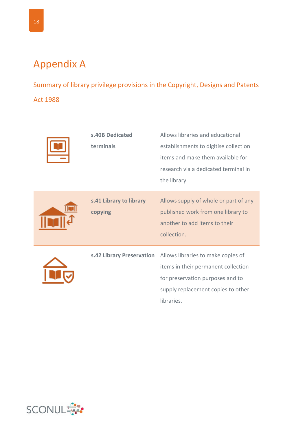### <span id="page-19-0"></span>Appendix A

Summary of library privilege provisions in the Copyright, Designs and Patents Act 1988

| s.40B Dedicated<br>terminals       | Allows libraries and educational<br>establishments to digitise collection<br>items and make them available for<br>research via a dedicated terminal in<br>the library. |
|------------------------------------|------------------------------------------------------------------------------------------------------------------------------------------------------------------------|
| s.41 Library to library<br>copying | Allows supply of whole or part of any<br>published work from one library to<br>another to add items to their<br>collection.                                            |
| s.42 Library Preservation          | Allows libraries to make copies of<br>items in their permanent collection<br>for preservation purposes and to<br>supply replacement copies to other<br>libraries.      |

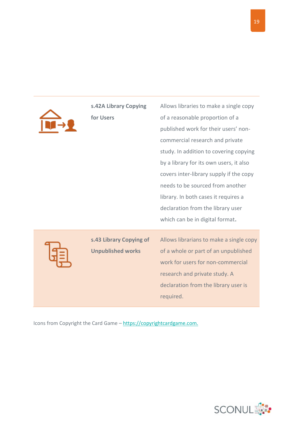| s.42A Library Copying<br>for Users                  | Allows libraries to make a single copy<br>of a reasonable proportion of a<br>published work for their users' non-<br>commercial research and private<br>study. In addition to covering copying<br>by a library for its own users, it also<br>covers inter-library supply if the copy<br>needs to be sourced from another<br>library. In both cases it requires a<br>declaration from the library user<br>which can be in digital format. |
|-----------------------------------------------------|------------------------------------------------------------------------------------------------------------------------------------------------------------------------------------------------------------------------------------------------------------------------------------------------------------------------------------------------------------------------------------------------------------------------------------------|
| s.43 Library Copying of<br><b>Unpublished works</b> | Allows librarians to make a single copy<br>of a whole or part of an unpublished<br>work for users for non-commercial<br>research and private study. A<br>declaration from the library user is<br>required.                                                                                                                                                                                                                               |

Icons from Copyright the Card Game - [https://copyrightcardgame.com.](https://copyrightcardgame.com/)